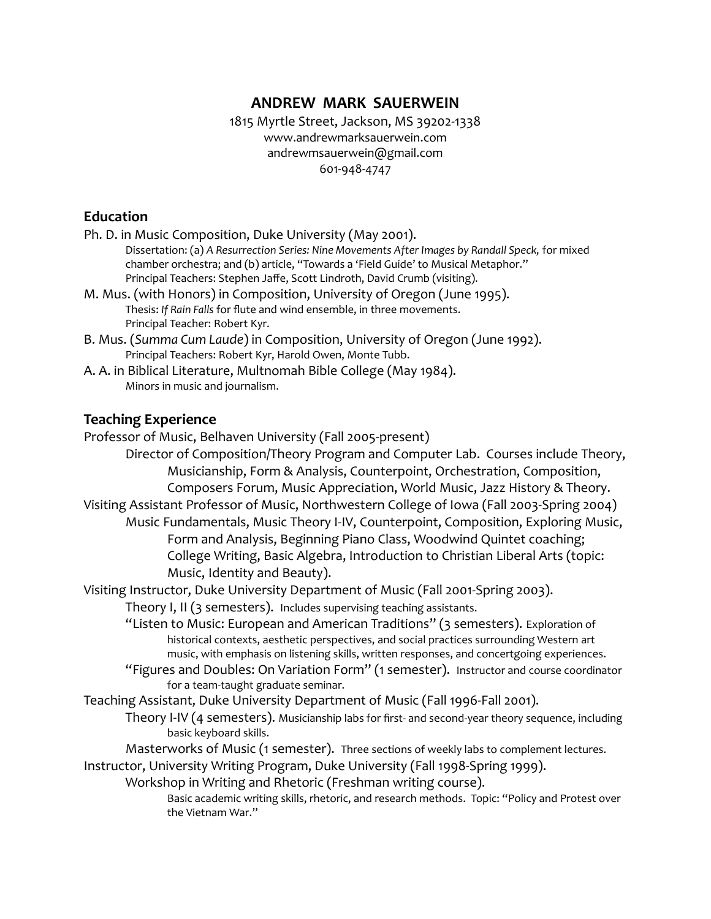1815 Myrtle Street, Jackson, MS 39202-1338 www.andrewmarksauerwein.com andrewmsauerwein@gmail.com 601-948-4747

## **Education**

| Ph. D. in Music Composition, Duke University (May 2001).                                                                                          |
|---------------------------------------------------------------------------------------------------------------------------------------------------|
| Dissertation: (a) A Resurrection Series: Nine Movements After Images by Randall Speck, for mixed                                                  |
| chamber orchestra; and (b) article, "Towards a 'Field Guide' to Musical Metaphor."                                                                |
| Principal Teachers: Stephen Jaffe, Scott Lindroth, David Crumb (visiting).                                                                        |
| M. Mus. (with Honors) in Composition, University of Oregon (June 1995).<br>Thesis: If Rain Falls for flute and wind ensemble, in three movements. |
| Principal Teacher: Robert Kyr.                                                                                                                    |
| B. Mus. (Summa Cum Laude) in Composition, University of Oregon (June 1992).                                                                       |
| Principal Teachers: Robert Kyr, Harold Owen, Monte Tubb.                                                                                          |
| A. A. in Biblical Literature, Multnomah Bible College (May 1984).                                                                                 |
| Minors in music and journalism.                                                                                                                   |
| <b>Teaching Experience</b>                                                                                                                        |
| Professor of Music, Belhaven University (Fall 2005-present)                                                                                       |
| Director of Composition/Theory Program and Computer Lab. Courses include Theory,                                                                  |
| Musicianship, Form & Analysis, Counterpoint, Orchestration, Composition,                                                                          |
| Composers Forum, Music Appreciation, World Music, Jazz History & Theory.                                                                          |
| Visiting Assistant Professor of Music, Northwestern College of Iowa (Fall 2003-Spring 2004)                                                       |
| Music Fundamentals, Music Theory I-IV, Counterpoint, Composition, Exploring Music,                                                                |
| Form and Analysis, Beginning Piano Class, Woodwind Quintet coaching;                                                                              |
| College Writing, Basic Algebra, Introduction to Christian Liberal Arts (topic:                                                                    |
| Music, Identity and Beauty).                                                                                                                      |
| Visiting Instructor, Duke University Department of Music (Fall 2001-Spring 2003).                                                                 |
| Theory I, II (3 semesters). Includes supervising teaching assistants.                                                                             |
| "Listen to Music: European and American Traditions" (3 semesters). Exploration of                                                                 |
| historical contexts, aesthetic perspectives, and social practices surrounding Western art                                                         |
| music, with emphasis on listening skills, written responses, and concertgoing experiences.                                                        |
| "Figures and Doubles: On Variation Form" (1 semester). Instructor and course coordinator                                                          |
| for a team-taught graduate seminar.                                                                                                               |
| Teaching Assistant, Duke University Department of Music (Fall 1996-Fall 2001).                                                                    |
| Theory I-IV (4 semesters). Musicianship labs for first- and second-year theory sequence, including<br>basic keyboard skills.                      |
| Masterworks of Music (1 semester). Three sections of weekly labs to complement lectures.                                                          |

Instructor, University Writing Program, Duke University (Fall 1998-Spring 1999).

Workshop in Writing and Rhetoric (Freshman writing course).

Basic academic writing skills, rhetoric, and research methods. Topic: "Policy and Protest over the Vietnam War."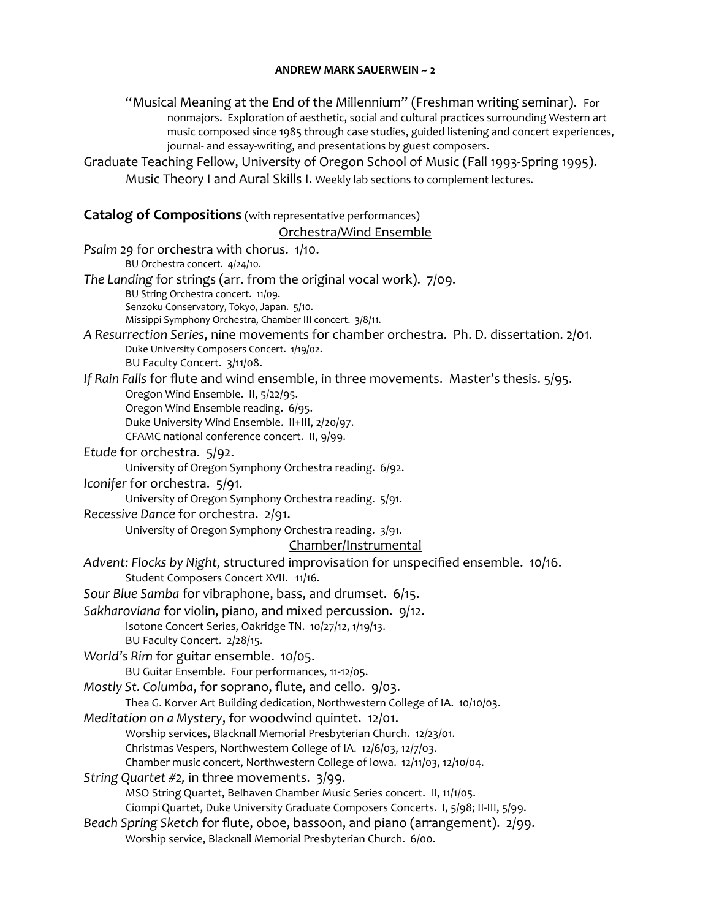"Musical Meaning at the End of the Millennium" (Freshman writing seminar). For nonmajors. Exploration of aesthetic, social and cultural practices surrounding Western art music composed since 1985 through case studies, guided listening and concert experiences, journal- and essay-writing, and presentations by guest composers.

Graduate Teaching Fellow, University of Oregon School of Music (Fall 1993-Spring 1995). Music Theory I and Aural Skills I. Weekly lab sections to complement lectures.

#### **Catalog of Compositions** (with representative performances)

#### Orchestra/Wind Ensemble *Psalm 29* for orchestra with chorus. 1/10. BU Orchestra concert. 4/24/10. *The Landing* for strings (arr. from the original vocal work). 7/09. BU String Orchestra concert. 11/09. Senzoku Conservatory, Tokyo, Japan. 5/10. Missippi Symphony Orchestra, Chamber III concert. 3/8/11. *A Resurrection Series*, nine movements for chamber orchestra.Ph. D. dissertation. 2/01. Duke University Composers Concert. 1/19/02. BU Faculty Concert. 3/11/08. *If Rain Falls* for flute and wind ensemble, in three movements. Master's thesis. 5/95. Oregon Wind Ensemble. II, 5/22/95. Oregon Wind Ensemble reading. 6/95. Duke University Wind Ensemble. II+III, 2/20/97. CFAMC national conference concert. II, 9/99. *Etude* for orchestra. 5/92. University of Oregon Symphony Orchestra reading. 6/92. *Iconifer* for orchestra. 5/91. University of Oregon Symphony Orchestra reading. 5/91. *Recessive Dance* for orchestra. 2/91. University of Oregon Symphony Orchestra reading. 3/91. Chamber/Instrumental *Advent: Flocks by Night,* structured improvisation for unspecified ensemble. 10/16. Student Composers Concert XVII. 11/16. *Sour Blue Samba* for vibraphone, bass, and drumset. 6/15. *Sakharoviana* for violin, piano, and mixed percussion. 9/12. Isotone Concert Series, Oakridge TN. 10/27/12, 1/19/13. BU Faculty Concert. 2/28/15. *World's Rim* for guitar ensemble. 10/05. BU Guitar Ensemble. Four performances, 11-12/05. *Mostly St. Columba*, for soprano, flute, and cello. 9/03. Thea G. Korver Art Building dedication, Northwestern College of IA. 10/10/03. *Meditation on a Mystery*, for woodwind quintet. 12/01. Worship services, Blacknall Memorial Presbyterian Church. 12/23/01. Christmas Vespers, Northwestern College of IA. 12/6/03, 12/7/03. Chamber music concert, Northwestern College of Iowa. 12/11/03, 12/10/04. *String Quartet #2,* in three movements. 3/99. MSO String Quartet, Belhaven Chamber Music Series concert. II, 11/1/05. Ciompi Quartet, Duke University Graduate Composers Concerts. I, 5/98; II-III, 5/99. *Beach Spring Sketch* for flute, oboe, bassoon, and piano (arrangement). 2/99. Worship service, Blacknall Memorial Presbyterian Church. 6/00.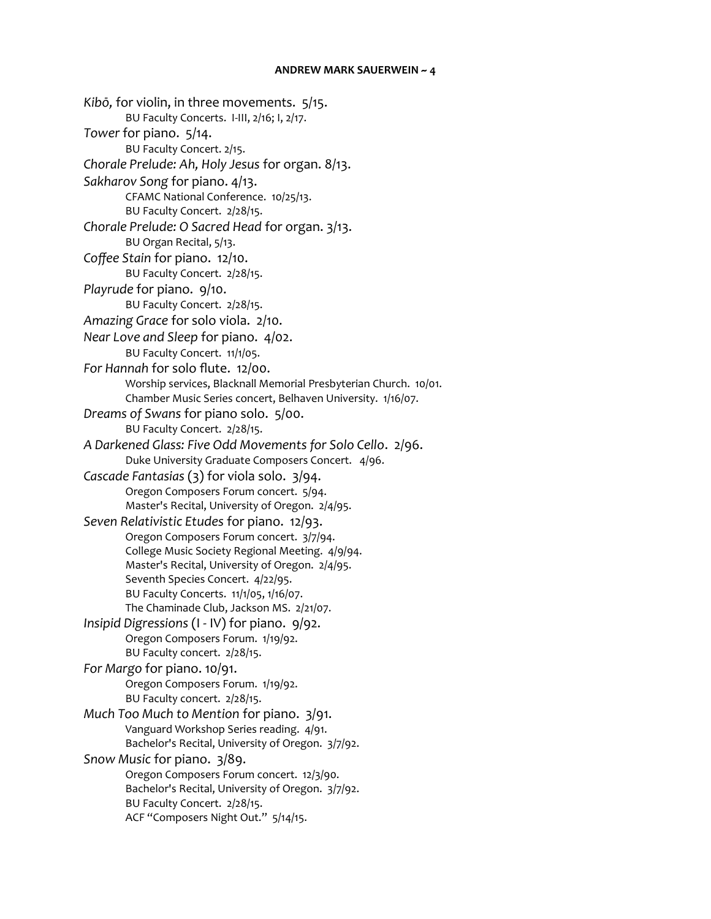*Kibō,* for violin, in three movements. 5/15. BU Faculty Concerts. I-III, 2/16; I, 2/17. *Tower* for piano. 5/14. BU Faculty Concert. 2/15. *Chorale Prelude: Ah, Holy Jesus* for organ. 8/13. *Sakharov Song* for piano. 4/13. CFAMC National Conference. 10/25/13. BU Faculty Concert. 2/28/15. *Chorale Prelude: O Sacred Head* for organ. 3/13. BU Organ Recital, 5/13. *Coffee Stain* for piano. 12/10. BU Faculty Concert. 2/28/15. *Playrude* for piano. 9/10. BU Faculty Concert. 2/28/15. *Amazing Grace* for solo viola. 2/10. *Near Love and Sleep* for piano. 4/02. BU Faculty Concert. 11/1/05. *For Hannah* for solo flute. 12/00. Worship services, Blacknall Memorial Presbyterian Church. 10/01. Chamber Music Series concert, Belhaven University. 1/16/07. *Dreams of Swans* for piano solo. 5/00. BU Faculty Concert. 2/28/15. *A Darkened Glass: Five Odd Movements for Solo Cello*. 2/96. Duke University Graduate Composers Concert. 4/96. *Cascade Fantasias* (3) for viola solo. 3/94. Oregon Composers Forum concert. 5/94. Master's Recital, University of Oregon. 2/4/95. *Seven Relativistic Etudes* for piano. 12/93. Oregon Composers Forum concert. 3/7/94. College Music Society Regional Meeting. 4/9/94. Master's Recital, University of Oregon. 2/4/95. Seventh Species Concert. 4/22/95. BU Faculty Concerts. 11/1/05, 1/16/07. The Chaminade Club, Jackson MS. 2/21/07. *Insipid Digressions* (I - IV) for piano. 9/92. Oregon Composers Forum. 1/19/92. BU Faculty concert. 2/28/15. *For Margo* for piano. 10/91. Oregon Composers Forum. 1/19/92. BU Faculty concert. 2/28/15. *Much Too Much to Mention* for piano. 3/91. Vanguard Workshop Series reading. 4/91. Bachelor's Recital, University of Oregon. 3/7/92. *Snow Music* for piano. 3/89. Oregon Composers Forum concert. 12/3/90. Bachelor's Recital, University of Oregon. 3/7/92. BU Faculty Concert. 2/28/15. ACF "Composers Night Out." 5/14/15.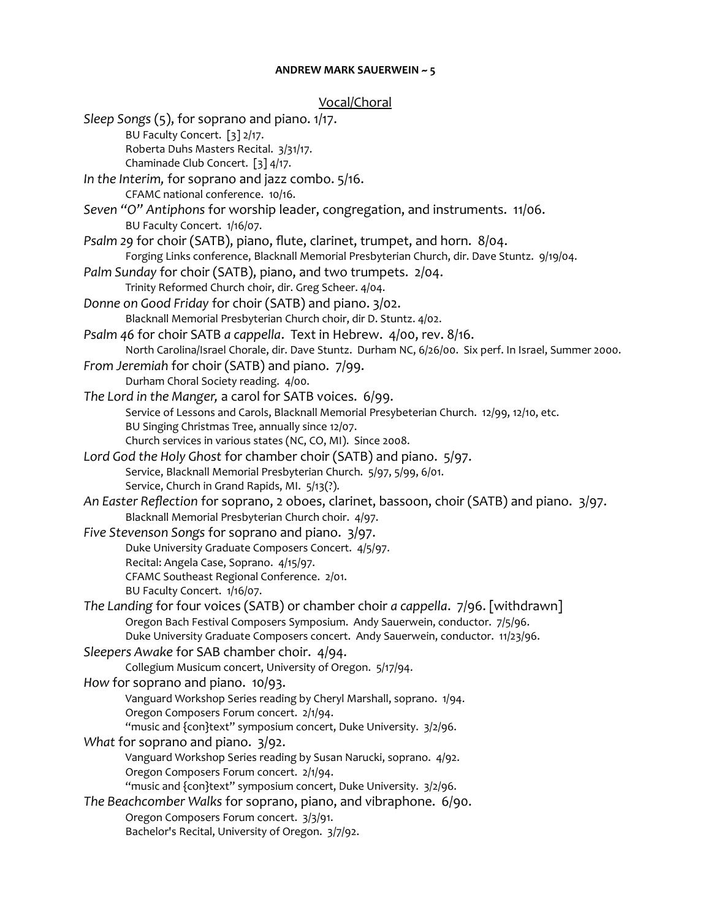Vocal/Choral *Sleep Songs* (5), for soprano and piano. 1/17. BU Faculty Concert. [3] 2/17. Roberta Duhs Masters Recital. 3/31/17. Chaminade Club Concert. [3] 4/17. *In the Interim,* for soprano and jazz combo. 5/16. CFAMC national conference. 10/16. *Seven "O" Antiphons* for worship leader, congregation, and instruments. 11/06. BU Faculty Concert. 1/16/07. *Psalm 29* for choir (SATB), piano, flute, clarinet, trumpet, and horn. 8/04. Forging Links conference, Blacknall Memorial Presbyterian Church, dir. Dave Stuntz. 9/19/04. *Palm Sunday* for choir (SATB), piano, and two trumpets. 2/04. Trinity Reformed Church choir, dir. Greg Scheer. 4/04. *Donne on Good Friday* for choir (SATB) and piano. 3/02. Blacknall Memorial Presbyterian Church choir, dir D. Stuntz. 4/02. *Psalm 46* for choir SATB *a cappella*. Text in Hebrew. 4/00, rev. 8/16. North Carolina/Israel Chorale, dir. Dave Stuntz. Durham NC, 6/26/00. Six perf. In Israel, Summer 2000. *From Jeremiah* for choir (SATB) and piano. 7/99. Durham Choral Society reading. 4/00. *The Lord in the Manger,* a carol for SATB voices. 6/99. Service of Lessons and Carols, Blacknall Memorial Presybeterian Church. 12/99, 12/10, etc. BU Singing Christmas Tree, annually since 12/07. Church services in various states (NC, CO, MI). Since 2008. *Lord God the Holy Ghost* for chamber choir (SATB) and piano. 5/97. Service, Blacknall Memorial Presbyterian Church. 5/97, 5/99, 6/01. Service, Church in Grand Rapids, MI. 5/13(?). *An Easter Reflection* for soprano, 2 oboes, clarinet, bassoon, choir (SATB) and piano. 3/97. Blacknall Memorial Presbyterian Church choir. 4/97. *Five Stevenson Songs* for soprano and piano. 3/97. Duke University Graduate Composers Concert. 4/5/97. Recital: Angela Case, Soprano. 4/15/97. CFAMC Southeast Regional Conference. 2/01. BU Faculty Concert. 1/16/07. *The Landing* for four voices (SATB) or chamber choir *a cappella*. 7/96. [withdrawn] Oregon Bach Festival Composers Symposium. Andy Sauerwein, conductor. 7/5/96. Duke University Graduate Composers concert. Andy Sauerwein, conductor. 11/23/96. *Sleepers Awake* for SAB chamber choir. 4/94. Collegium Musicum concert, University of Oregon. 5/17/94. *How* for soprano and piano. 10/93. Vanguard Workshop Series reading by Cheryl Marshall, soprano. 1/94. Oregon Composers Forum concert. 2/1/94. "music and {con}text" symposium concert, Duke University. 3/2/96. *What* for soprano and piano. 3/92. Vanguard Workshop Series reading by Susan Narucki, soprano. 4/92. Oregon Composers Forum concert. 2/1/94. "music and {con}text" symposium concert, Duke University. 3/2/96. *The Beachcomber Walks* for soprano, piano, and vibraphone. 6/90. Oregon Composers Forum concert. 3/3/91. Bachelor's Recital, University of Oregon. 3/7/92.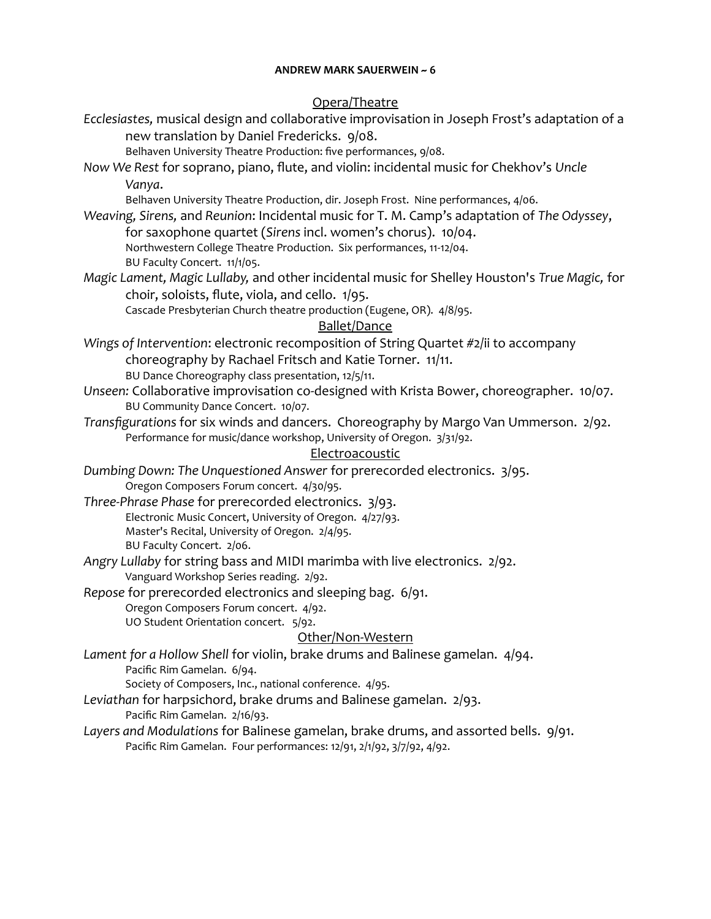#### Opera/Theatre

*Ecclesiastes,* musical design and collaborative improvisation in Joseph Frost's adaptation of a new translation by Daniel Fredericks. 9/08.

Belhaven University Theatre Production: five performances, 9/08.

*Now We Rest* for soprano, piano, flute, and violin: incidental music for Chekhov's *Uncle Vanya*.

Belhaven University Theatre Production, dir. Joseph Frost. Nine performances, 4/06.

- *Weaving, Sirens,* and *Reunion*: Incidental music for T. M. Camp's adaptation of *The Odyssey*, for saxophone quartet (*Sirens* incl. women's chorus). 10/04. Northwestern College Theatre Production. Six performances, 11-12/04. BU Faculty Concert. 11/1/05.
- *Magic Lament, Magic Lullaby,* and other incidental music for Shelley Houston's *True Magic,* for choir, soloists, flute, viola, and cello. 1/95.

Cascade Presbyterian Church theatre production (Eugene, OR). 4/8/95.

### Ballet/Dance

- *Wings of Intervention*: electronic recomposition of String Quartet #2/ii to accompany choreography by Rachael Fritsch and Katie Torner. 11/11. BU Dance Choreography class presentation, 12/5/11.
- *Unseen:* Collaborative improvisation co-designed with Krista Bower, choreographer. 10/07. BU Community Dance Concert. 10/07.
- *Transfigurations* for six winds and dancers. Choreography by Margo Van Ummerson. 2/92. Performance for music/dance workshop, University of Oregon. 3/31/92.

### **Electroacoustic**

*Dumbing Down: The Unquestioned Answer* for prerecorded electronics. 3/95. Oregon Composers Forum concert. 4/30/95.

- *Three-Phrase Phase* for prerecorded electronics. 3/93. Electronic Music Concert, University of Oregon. 4/27/93. Master's Recital, University of Oregon. 2/4/95. BU Faculty Concert. 2/06.
- *Angry Lullaby* for string bass and MIDI marimba with live electronics. 2/92. Vanguard Workshop Series reading. 2/92.

*Repose* for prerecorded electronics and sleeping bag. 6/91. Oregon Composers Forum concert. 4/92. UO Student Orientation concert. 5/92.

### Other/Non-Western

*Lament for a Hollow Shell* for violin, brake drums and Balinese gamelan. 4/94. Pacific Rim Gamelan. 6/94.

Society of Composers, Inc., national conference. 4/95.

*Leviathan* for harpsichord, brake drums and Balinese gamelan. 2/93. Pacific Rim Gamelan. 2/16/93.

*Layers and Modulations* for Balinese gamelan, brake drums, and assorted bells. 9/91. Pacific Rim Gamelan. Four performances: 12/91, 2/1/92, 3/7/92, 4/92.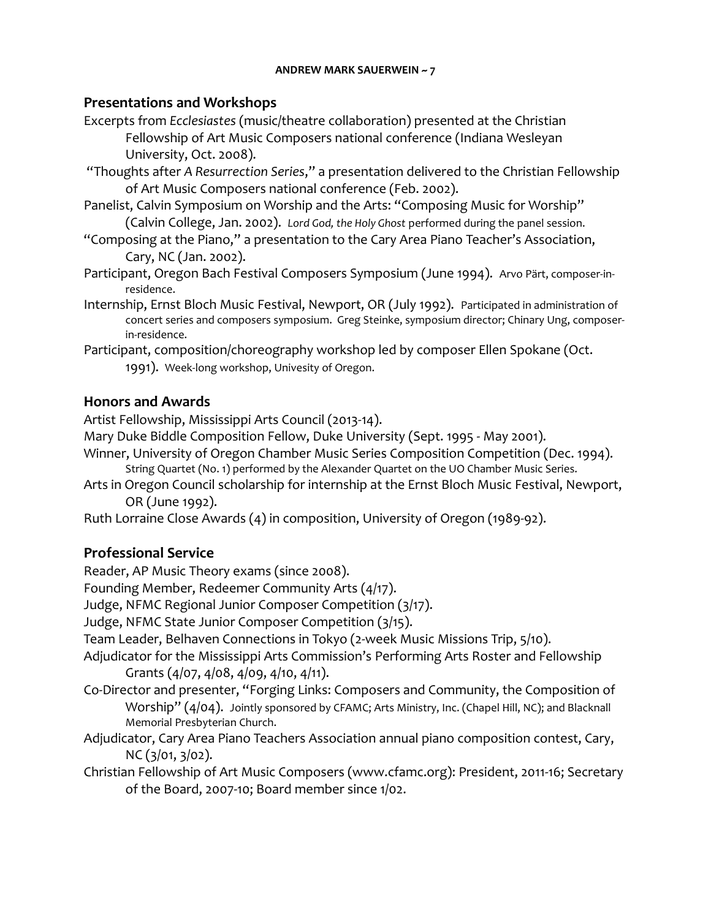### **Presentations and Workshops**

- Excerpts from *Ecclesiastes* (music/theatre collaboration) presented at the Christian Fellowship of Art Music Composers national conference (Indiana Wesleyan University, Oct. 2008).
- "Thoughts after *A Resurrection Series*," a presentation delivered to the Christian Fellowship of Art Music Composers national conference (Feb. 2002).
- Panelist, Calvin Symposium on Worship and the Arts: "Composing Music for Worship" (Calvin College, Jan. 2002). *Lord God, the Holy Ghost* performed during the panel session.
- "Composing at the Piano," a presentation to the Cary Area Piano Teacher's Association, Cary, NC (Jan. 2002).
- Participant, Oregon Bach Festival Composers Symposium (June 1994). Arvo Pärt, composer-inresidence.
- Internship, Ernst Bloch Music Festival, Newport, OR (July 1992). Participated in administration of concert series and composers symposium. Greg Steinke, symposium director; Chinary Ung, composerin-residence.
- Participant, composition/choreography workshop led by composer Ellen Spokane (Oct. 1991). Week-long workshop, Univesity of Oregon.

## **Honors and Awards**

Artist Fellowship, Mississippi Arts Council (2013-14).

- Mary Duke Biddle Composition Fellow, Duke University (Sept. 1995 May 2001).
- Winner, University of Oregon Chamber Music Series Composition Competition (Dec. 1994). String Quartet (No. 1) performed by the Alexander Quartet on the UO Chamber Music Series.
- Arts in Oregon Council scholarship for internship at the Ernst Bloch Music Festival, Newport, OR (June 1992).

Ruth Lorraine Close Awards (4) in composition, University of Oregon (1989-92).

# **Professional Service**

Reader, AP Music Theory exams (since 2008).

Founding Member, Redeemer Community Arts (4/17).

Judge, NFMC Regional Junior Composer Competition (3/17).

Judge, NFMC State Junior Composer Competition (3/15).

Team Leader, Belhaven Connections in Tokyo (2-week Music Missions Trip, 5/10).

- Adjudicator for the Mississippi Arts Commission's Performing Arts Roster and Fellowship Grants (4/07, 4/08, 4/09, 4/10, 4/11).
- Co-Director and presenter, "Forging Links: Composers and Community, the Composition of Worship" (4/04). Jointly sponsored by CFAMC; Arts Ministry, Inc. (Chapel Hill, NC); and Blacknall Memorial Presbyterian Church.
- Adjudicator, Cary Area Piano Teachers Association annual piano composition contest, Cary, NC (3/01, 3/02).
- Christian Fellowship of Art Music Composers (www.cfamc.org): President, 2011-16; Secretary of the Board, 2007-10; Board member since 1/02.